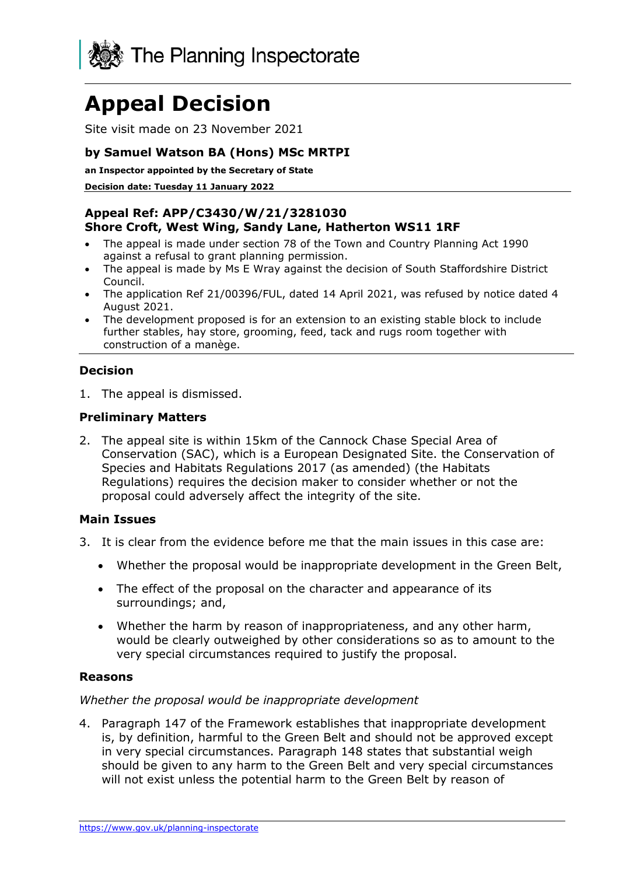

# **Appeal Decision**

Site visit made on 23 November 2021

## **by Samuel Watson BA (Hons) MSc MRTPI**

**an Inspector appointed by the Secretary of State** 

**Decision date: Tuesday 11 January 2022**

### **Appeal Ref: APP/C3430/W/21/3281030 Shore Croft, West Wing, Sandy Lane, Hatherton WS11 1RF**

- The appeal is made under section 78 of the Town and Country Planning Act 1990 against a refusal to grant planning permission.
- The appeal is made by Ms E Wray against the decision of South Staffordshire District Council.
- The application Ref 21/00396/FUL, dated 14 April 2021, was refused by notice dated 4 August 2021.
- The development proposed is for an extension to an existing stable block to include further stables, hay store, grooming, feed, tack and rugs room together with construction of a manège.

# **Decision**

1. The appeal is dismissed.

#### **Preliminary Matters**

2. The appeal site is within 15km of the Cannock Chase Special Area of Conservation (SAC), which is a European Designated Site. the Conservation of Species and Habitats Regulations 2017 (as amended) (the Habitats Regulations) requires the decision maker to consider whether or not the proposal could adversely affect the integrity of the site.

#### **Main Issues**

- 3. It is clear from the evidence before me that the main issues in this case are:
	- Whether the proposal would be inappropriate development in the Green Belt,
	- The effect of the proposal on the character and appearance of its surroundings; and,
	- Whether the harm by reason of inappropriateness, and any other harm, would be clearly outweighed by other considerations so as to amount to the very special circumstances required to justify the proposal.

## **Reasons**

#### *Whether the proposal would be inappropriate development*

4. Paragraph 147 of the Framework establishes that inappropriate development is, by definition, harmful to the Green Belt and should not be approved except in very special circumstances. Paragraph 148 states that substantial weigh should be given to any harm to the Green Belt and very special circumstances will not exist unless the potential harm to the Green Belt by reason of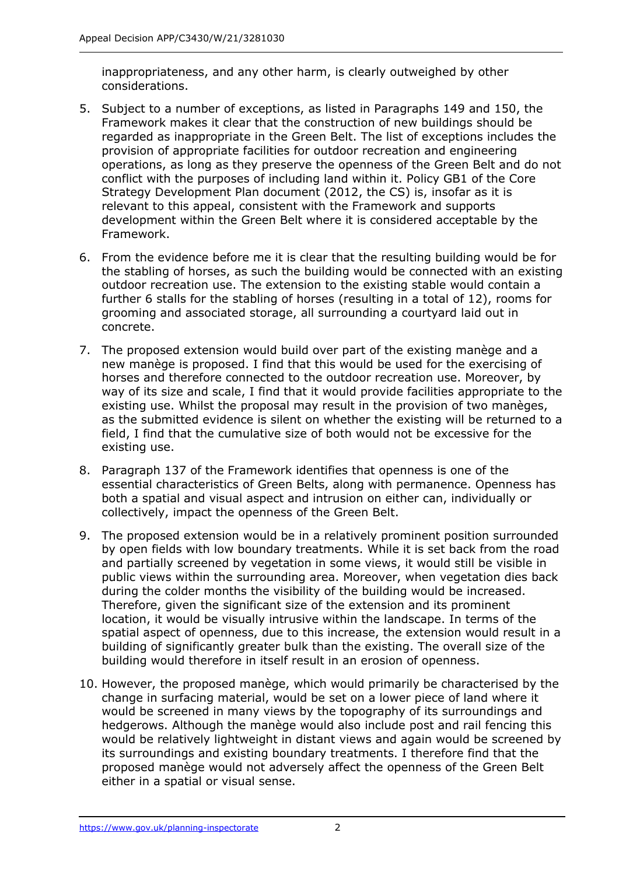inappropriateness, and any other harm, is clearly outweighed by other considerations.

- 5. Subject to a number of exceptions, as listed in Paragraphs 149 and 150, the Framework makes it clear that the construction of new buildings should be regarded as inappropriate in the Green Belt. The list of exceptions includes the provision of appropriate facilities for outdoor recreation and engineering operations, as long as they preserve the openness of the Green Belt and do not conflict with the purposes of including land within it. Policy GB1 of the Core Strategy Development Plan document (2012, the CS) is, insofar as it is relevant to this appeal, consistent with the Framework and supports development within the Green Belt where it is considered acceptable by the Framework.
- 6. From the evidence before me it is clear that the resulting building would be for the stabling of horses, as such the building would be connected with an existing outdoor recreation use. The extension to the existing stable would contain a further 6 stalls for the stabling of horses (resulting in a total of 12), rooms for grooming and associated storage, all surrounding a courtyard laid out in concrete.
- 7. The proposed extension would build over part of the existing manège and a new manège is proposed. I find that this would be used for the exercising of horses and therefore connected to the outdoor recreation use. Moreover, by way of its size and scale, I find that it would provide facilities appropriate to the existing use. Whilst the proposal may result in the provision of two manèges, as the submitted evidence is silent on whether the existing will be returned to a field, I find that the cumulative size of both would not be excessive for the existing use.
- 8. Paragraph 137 of the Framework identifies that openness is one of the essential characteristics of Green Belts, along with permanence. Openness has both a spatial and visual aspect and intrusion on either can, individually or collectively, impact the openness of the Green Belt.
- 9. The proposed extension would be in a relatively prominent position surrounded by open fields with low boundary treatments. While it is set back from the road and partially screened by vegetation in some views, it would still be visible in public views within the surrounding area. Moreover, when vegetation dies back during the colder months the visibility of the building would be increased. Therefore, given the significant size of the extension and its prominent location, it would be visually intrusive within the landscape. In terms of the spatial aspect of openness, due to this increase, the extension would result in a building of significantly greater bulk than the existing. The overall size of the building would therefore in itself result in an erosion of openness.
- 10. However, the proposed manège, which would primarily be characterised by the change in surfacing material, would be set on a lower piece of land where it would be screened in many views by the topography of its surroundings and hedgerows. Although the manège would also include post and rail fencing this would be relatively lightweight in distant views and again would be screened by its surroundings and existing boundary treatments. I therefore find that the proposed manège would not adversely affect the openness of the Green Belt either in a spatial or visual sense.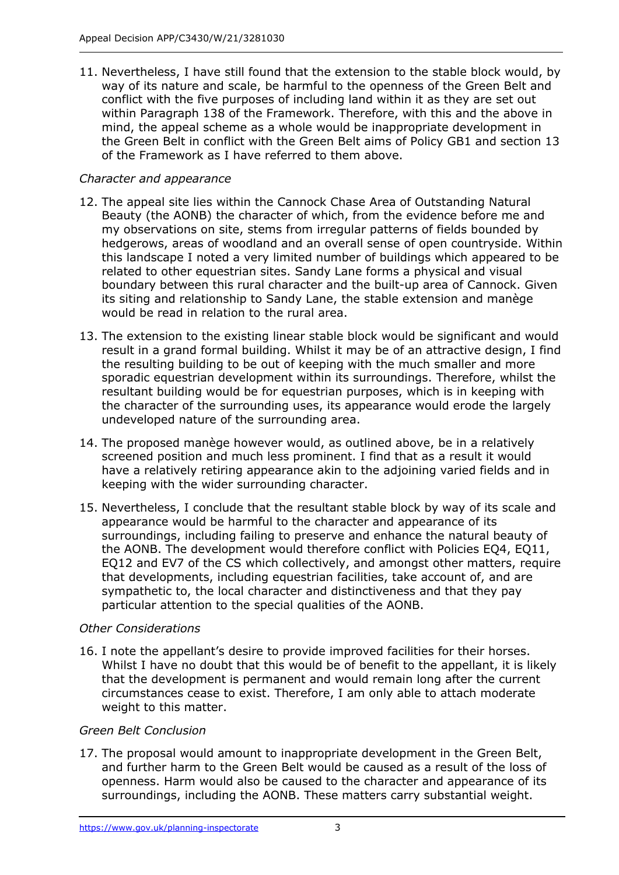11. Nevertheless, I have still found that the extension to the stable block would, by way of its nature and scale, be harmful to the openness of the Green Belt and conflict with the five purposes of including land within it as they are set out within Paragraph 138 of the Framework. Therefore, with this and the above in mind, the appeal scheme as a whole would be inappropriate development in the Green Belt in conflict with the Green Belt aims of Policy GB1 and section 13 of the Framework as I have referred to them above.

# *Character and appearance*

- 12. The appeal site lies within the Cannock Chase Area of Outstanding Natural Beauty (the AONB) the character of which, from the evidence before me and my observations on site, stems from irregular patterns of fields bounded by hedgerows, areas of woodland and an overall sense of open countryside. Within this landscape I noted a very limited number of buildings which appeared to be related to other equestrian sites. Sandy Lane forms a physical and visual boundary between this rural character and the built-up area of Cannock. Given its siting and relationship to Sandy Lane, the stable extension and manège would be read in relation to the rural area.
- 13. The extension to the existing linear stable block would be significant and would result in a grand formal building. Whilst it may be of an attractive design, I find the resulting building to be out of keeping with the much smaller and more sporadic equestrian development within its surroundings. Therefore, whilst the resultant building would be for equestrian purposes, which is in keeping with the character of the surrounding uses, its appearance would erode the largely undeveloped nature of the surrounding area.
- 14. The proposed manège however would, as outlined above, be in a relatively screened position and much less prominent. I find that as a result it would have a relatively retiring appearance akin to the adjoining varied fields and in keeping with the wider surrounding character.
- 15. Nevertheless, I conclude that the resultant stable block by way of its scale and appearance would be harmful to the character and appearance of its surroundings, including failing to preserve and enhance the natural beauty of the AONB. The development would therefore conflict with Policies EQ4, EQ11, EQ12 and EV7 of the CS which collectively, and amongst other matters, require that developments, including equestrian facilities, take account of, and are sympathetic to, the local character and distinctiveness and that they pay particular attention to the special qualities of the AONB.

## *Other Considerations*

16. I note the appellant's desire to provide improved facilities for their horses. Whilst I have no doubt that this would be of benefit to the appellant, it is likely that the development is permanent and would remain long after the current circumstances cease to exist. Therefore, I am only able to attach moderate weight to this matter.

## *Green Belt Conclusion*

17. The proposal would amount to inappropriate development in the Green Belt, and further harm to the Green Belt would be caused as a result of the loss of openness. Harm would also be caused to the character and appearance of its surroundings, including the AONB. These matters carry substantial weight.